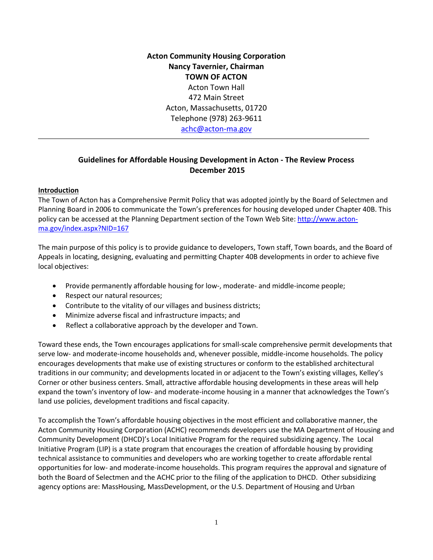**Acton Community Housing Corporation Nancy Tavernier, Chairman TOWN OF ACTON** Acton Town Hall 472 Main Street Acton, Massachusetts, 01720 Telephone (978) 263-9611 [achc@acton-ma.gov](mailto:achc@acton-ma.gov)

# **Guidelines for Affordable Housing Development in Acton - The Review Process December 2015**

## **Introduction**

The Town of Acton has a Comprehensive Permit Policy that was adopted jointly by the Board of Selectmen and Planning Board in 2006 to communicate the Town's preferences for housing developed under Chapter 40B. This policy can be accessed at the Planning Department section of the Town Web Site: [http://www.acton](http://www.acton-ma.gov/index.aspx?NID=167)[ma.gov/index.aspx?NID=167](http://www.acton-ma.gov/index.aspx?NID=167)

The main purpose of this policy is to provide guidance to developers, Town staff, Town boards, and the Board of Appeals in locating, designing, evaluating and permitting Chapter 40B developments in order to achieve five local objectives:

- Provide permanently affordable housing for low‐, moderate‐ and middle‐income people;
- Respect our natural resources;
- Contribute to the vitality of our villages and business districts;
- Minimize adverse fiscal and infrastructure impacts; and
- Reflect a collaborative approach by the developer and Town.

Toward these ends, the Town encourages applications for small‐scale comprehensive permit developments that serve low- and moderate-income households and, whenever possible, middle-income households. The policy encourages developments that make use of existing structures or conform to the established architectural traditions in our community; and developments located in or adjacent to the Town's existing villages, Kelley's Corner or other business centers. Small, attractive affordable housing developments in these areas will help expand the town's inventory of low- and moderate-income housing in a manner that acknowledges the Town's land use policies, development traditions and fiscal capacity.

To accomplish the Town's affordable housing objectives in the most efficient and collaborative manner, the Acton Community Housing Corporation (ACHC) recommends developers use the MA Department of Housing and Community Development (DHCD)'s Local Initiative Program for the required subsidizing agency. The Local Initiative Program (LIP) is a state program that encourages the creation of affordable housing by providing technical assistance to communities and developers who are working together to create affordable rental opportunities for low- and moderate-income households. This program requires the approval and signature of both the Board of Selectmen and the ACHC prior to the filing of the application to DHCD. Other subsidizing agency options are: MassHousing, MassDevelopment, or the U.S. Department of Housing and Urban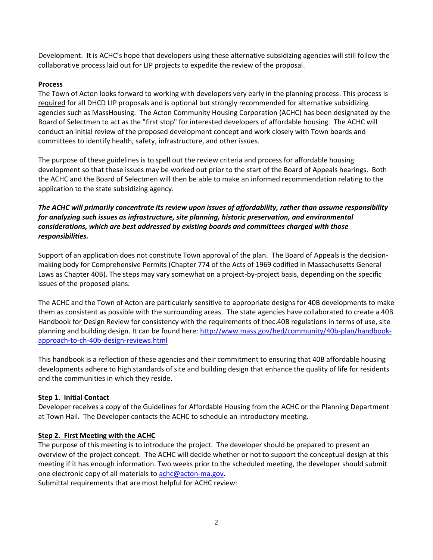Development. It is ACHC's hope that developers using these alternative subsidizing agencies will still follow the collaborative process laid out for LIP projects to expedite the review of the proposal.

## **Process**

The Town of Acton looks forward to working with developers very early in the planning process. This process is required for all DHCD LIP proposals and is optional but strongly recommended for alternative subsidizing agencies such as MassHousing. The Acton Community Housing Corporation (ACHC) has been designated by the Board of Selectmen to act as the "first stop" for interested developers of affordable housing. The ACHC will conduct an initial review of the proposed development concept and work closely with Town boards and committees to identify health, safety, infrastructure, and other issues.

The purpose of these guidelines is to spell out the review criteria and process for affordable housing development so that these issues may be worked out prior to the start of the Board of Appeals hearings. Both the ACHC and the Board of Selectmen will then be able to make an informed recommendation relating to the application to the state subsidizing agency.

# *The ACHC will primarily concentrate its review upon issues of affordability, rather than assume responsibility for analyzing such issues as infrastructure, site planning, historic preservation, and environmental considerations, which are best addressed by existing boards and committees charged with those responsibilities.*

Support of an application does not constitute Town approval of the plan. The Board of Appeals is the decisionmaking body for Comprehensive Permits (Chapter 774 of the Acts of 1969 codified in Massachusetts General Laws as Chapter 40B). The steps may vary somewhat on a project-by-project basis, depending on the specific issues of the proposed plans.

The ACHC and the Town of Acton are particularly sensitive to appropriate designs for 40B developments to make them as consistent as possible with the surrounding areas. The state agencies have collaborated to create a 40B Handbook for Design Review for consistency with the requirements of thec.40B regulations in terms of use, site planning and building design. It can be found here: [http://www.mass.gov/hed/community/40b-plan/handbook](http://www.mass.gov/hed/community/40b-plan/handbook-approach-to-ch-40b-design-reviews.html)[approach-to-ch-40b-design-reviews.html](http://www.mass.gov/hed/community/40b-plan/handbook-approach-to-ch-40b-design-reviews.html) 

This handbook is a reflection of these agencies and their commitment to ensuring that 40B affordable housing developments adhere to high standards of site and building design that enhance the quality of life for residents and the communities in which they reside.

## **Step 1. Initial Contact**

Developer receives a copy of the Guidelines for Affordable Housing from the ACHC or the Planning Department at Town Hall. The Developer contacts the ACHC to schedule an introductory meeting.

## **Step 2. First Meeting with the ACHC**

The purpose of this meeting is to introduce the project. The developer should be prepared to present an overview of the project concept. The ACHC will decide whether or not to support the conceptual design at this meeting if it has enough information. Two weeks prior to the scheduled meeting, the developer should submit one electronic copy of all materials t[o achc@acton-ma.gov.](mailto:achc@acton-ma.gov)

Submittal requirements that are most helpful for ACHC review: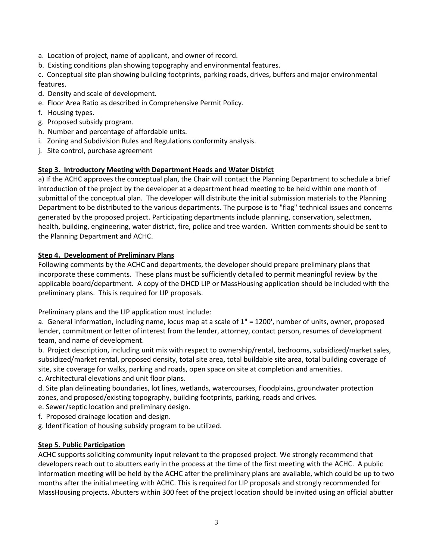- a. Location of project, name of applicant, and owner of record.
- b. Existing conditions plan showing topography and environmental features.

c. Conceptual site plan showing building footprints, parking roads, drives, buffers and major environmental features.

- d. Density and scale of development.
- e. Floor Area Ratio as described in Comprehensive Permit Policy.
- f. Housing types.
- g. Proposed subsidy program.
- h. Number and percentage of affordable units.
- i. Zoning and Subdivision Rules and Regulations conformity analysis.
- j. Site control, purchase agreement

## **Step 3. Introductory Meeting with Department Heads and Water District**

a) If the ACHC approves the conceptual plan, the Chair will contact the Planning Department to schedule a brief introduction of the project by the developer at a department head meeting to be held within one month of submittal of the conceptual plan. The developer will distribute the initial submission materials to the Planning Department to be distributed to the various departments. The purpose is to "flag" technical issues and concerns generated by the proposed project. Participating departments include planning, conservation, selectmen, health, building, engineering, water district, fire, police and tree warden. Written comments should be sent to the Planning Department and ACHC.

## **Step 4. Development of Preliminary Plans**

Following comments by the ACHC and departments, the developer should prepare preliminary plans that incorporate these comments. These plans must be sufficiently detailed to permit meaningful review by the applicable board/department. A copy of the DHCD LIP or MassHousing application should be included with the preliminary plans. This is required for LIP proposals.

Preliminary plans and the LIP application must include:

a. General information, including name, locus map at a scale of 1" = 1200', number of units, owner, proposed lender, commitment or letter of interest from the lender, attorney, contact person, resumes of development team, and name of development.

b. Project description, including unit mix with respect to ownership/rental, bedrooms, subsidized/market sales, subsidized/market rental, proposed density, total site area, total buildable site area, total building coverage of site, site coverage for walks, parking and roads, open space on site at completion and amenities.

c. Architectural elevations and unit floor plans.

d. Site plan delineating boundaries, lot lines, wetlands, watercourses, floodplains, groundwater protection zones, and proposed/existing topography, building footprints, parking, roads and drives.

- e. Sewer/septic location and preliminary design.
- f. Proposed drainage location and design.
- g. Identification of housing subsidy program to be utilized.

## **Step 5. Public Participation**

ACHC supports soliciting community input relevant to the proposed project. We strongly recommend that developers reach out to abutters early in the process at the time of the first meeting with the ACHC. A public information meeting will be held by the ACHC after the preliminary plans are available, which could be up to two months after the initial meeting with ACHC. This is required for LIP proposals and strongly recommended for MassHousing projects. Abutters within 300 feet of the project location should be invited using an official abutter